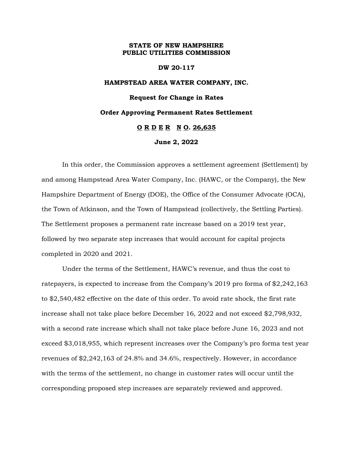## **STATE OF NEW HAMPSHIRE PUBLIC UTILITIES COMMISSION**

#### **DW 20-117**

# **HAMPSTEAD AREA WATER COMPANY, INC. Request for Change in Rates Order Approving Permanent Rates Settlement O R D E R N O. 26,635**

## **June 2, 2022**

In this order, the Commission approves a settlement agreement (Settlement) by and among Hampstead Area Water Company, Inc. (HAWC, or the Company), the New Hampshire Department of Energy (DOE), the Office of the Consumer Advocate (OCA), the Town of Atkinson, and the Town of Hampstead (collectively, the Settling Parties). The Settlement proposes a permanent rate increase based on a 2019 test year, followed by two separate step increases that would account for capital projects completed in 2020 and 2021.

Under the terms of the Settlement, HAWC's revenue, and thus the cost to ratepayers, is expected to increase from the Company's 2019 pro forma of \$2,242,163 to \$2,540,482 effective on the date of this order. To avoid rate shock, the first rate increase shall not take place before December 16, 2022 and not exceed \$2,798,932, with a second rate increase which shall not take place before June 16, 2023 and not exceed \$3,018,955, which represent increases over the Company's pro forma test year revenues of \$2,242,163 of 24.8% and 34.6%, respectively. However, in accordance with the terms of the settlement, no change in customer rates will occur until the corresponding proposed step increases are separately reviewed and approved.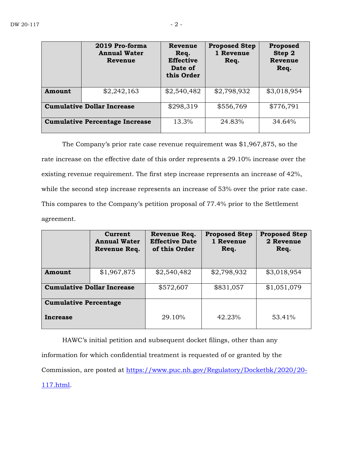|                                   | 2019 Pro-forma<br><b>Annual Water</b><br>Revenue | Revenue<br>Req.<br><b>Effective</b><br>Date of<br>this Order | <b>Proposed Step</b><br>1 Revenue<br>Req. | Proposed<br>Step 2<br>Revenue<br>Req. |
|-----------------------------------|--------------------------------------------------|--------------------------------------------------------------|-------------------------------------------|---------------------------------------|
| Amount                            | \$2,242,163                                      | \$2,540,482                                                  | \$2,798,932                               | \$3,018,954                           |
| <b>Cumulative Dollar Increase</b> |                                                  | \$298,319                                                    | \$556,769                                 | \$776,791                             |
|                                   | <b>Cumulative Percentage Increase</b>            | 13.3%                                                        | 24.83%                                    | 34.64%                                |

The Company's prior rate case revenue requirement was \$1,967,875, so the rate increase on the effective date of this order represents a 29.10% increase over the existing revenue requirement. The first step increase represents an increase of 42%, while the second step increase represents an increase of 53% over the prior rate case. This compares to the Company's petition proposal of 77.4% prior to the Settlement agreement.

|                                   | Current<br><b>Annual Water</b><br>Revenue Req. | Revenue Req.<br><b>Effective Date</b><br>of this Order | <b>Proposed Step</b><br>1 Revenue<br>Req. | <b>Proposed Step</b><br>2 Revenue<br>Req. |
|-----------------------------------|------------------------------------------------|--------------------------------------------------------|-------------------------------------------|-------------------------------------------|
| Amount                            | \$1,967,875                                    | \$2,540,482                                            | \$2,798,932                               | \$3,018,954                               |
| <b>Cumulative Dollar Increase</b> |                                                | \$572,607                                              | \$831,057                                 | \$1,051,079                               |
| <b>Cumulative Percentage</b>      |                                                |                                                        |                                           |                                           |
| Increase                          |                                                | 29.10%                                                 | 42.23%                                    | 53.41%                                    |

HAWC's initial petition and subsequent docket filings, other than any information for which confidential treatment is requested of or granted by the Commission, are posted at [https://www.puc.nh.gov/Regulatory/Docketbk/2020/20-](https://www.puc.nh.gov/Regulatory/Docketbk/2020/20-117.html) [117.html.](https://www.puc.nh.gov/Regulatory/Docketbk/2020/20-117.html)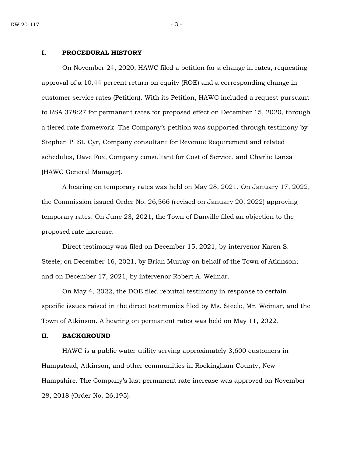#### **I. PROCEDURAL HISTORY**

On November 24, 2020, HAWC filed a petition for a change in rates, requesting approval of a 10.44 percent return on equity (ROE) and a corresponding change in customer service rates (Petition). With its Petition, HAWC included a request pursuant to RSA 378:27 for permanent rates for proposed effect on December 15, 2020, through a tiered rate framework. The Company's petition was supported through testimony by Stephen P. St. Cyr, Company consultant for Revenue Requirement and related schedules, Dave Fox, Company consultant for Cost of Service, and Charlie Lanza (HAWC General Manager).

A hearing on temporary rates was held on May 28, 2021. On January 17, 2022, the Commission issued Order No. 26,566 (revised on January 20, 2022) approving temporary rates. On June 23, 2021, the Town of Danville filed an objection to the proposed rate increase.

Direct testimony was filed on December 15, 2021, by intervenor Karen S. Steele; on December 16, 2021, by Brian Murray on behalf of the Town of Atkinson; and on December 17, 2021, by intervenor Robert A. Weimar.

On May 4, 2022, the DOE filed rebuttal testimony in response to certain specific issues raised in the direct testimonies filed by Ms. Steele, Mr. Weimar, and the Town of Atkinson. A hearing on permanent rates was held on May 11, 2022.

#### **II. BACKGROUND**

HAWC is a public water utility serving approximately 3,600 customers in Hampstead, Atkinson, and other communities in Rockingham County, New Hampshire. The Company's last permanent rate increase was approved on November 28, 2018 (Order No. 26,195).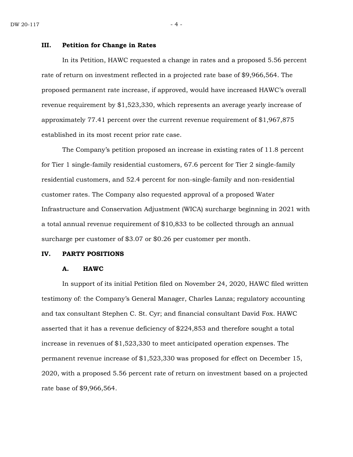#### **III. Petition for Change in Rates**

In its Petition, HAWC requested a change in rates and a proposed 5.56 percent rate of return on investment reflected in a projected rate base of \$9,966,564. The proposed permanent rate increase, if approved, would have increased HAWC's overall revenue requirement by \$1,523,330, which represents an average yearly increase of approximately 77.41 percent over the current revenue requirement of \$1,967,875 established in its most recent prior rate case.

The Company's petition proposed an increase in existing rates of 11.8 percent for Tier 1 single-family residential customers, 67.6 percent for Tier 2 single-family residential customers, and 52.4 percent for non-single-family and non-residential customer rates. The Company also requested approval of a proposed Water Infrastructure and Conservation Adjustment (WICA) surcharge beginning in 2021 with a total annual revenue requirement of \$10,833 to be collected through an annual surcharge per customer of \$3.07 or \$0.26 per customer per month.

#### **IV. PARTY POSITIONS**

#### **A. HAWC**

In support of its initial Petition filed on November 24, 2020, HAWC filed written testimony of: the Company's General Manager, Charles Lanza; regulatory accounting and tax consultant Stephen C. St. Cyr; and financial consultant David Fox. HAWC asserted that it has a revenue deficiency of \$224,853 and therefore sought a total increase in revenues of \$1,523,330 to meet anticipated operation expenses. The permanent revenue increase of \$1,523,330 was proposed for effect on December 15, 2020, with a proposed 5.56 percent rate of return on investment based on a projected rate base of \$9,966,564.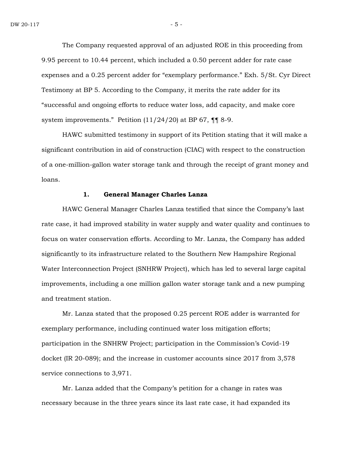The Company requested approval of an adjusted ROE in this proceeding from 9.95 percent to 10.44 percent, which included a 0.50 percent adder for rate case expenses and a 0.25 percent adder for "exemplary performance." Exh. 5/St. Cyr Direct Testimony at BP 5. According to the Company, it merits the rate adder for its "successful and ongoing efforts to reduce water loss, add capacity, and make core system improvements." Petition (11/24/20) at BP 67, ¶¶ 8-9.

HAWC submitted testimony in support of its Petition stating that it will make a significant contribution in aid of construction (CIAC) with respect to the construction of a one-million-gallon water storage tank and through the receipt of grant money and loans.

#### **1. General Manager Charles Lanza**

HAWC General Manager Charles Lanza testified that since the Company's last rate case, it had improved stability in water supply and water quality and continues to focus on water conservation efforts. According to Mr. Lanza, the Company has added significantly to its infrastructure related to the Southern New Hampshire Regional Water Interconnection Project (SNHRW Project), which has led to several large capital improvements, including a one million gallon water storage tank and a new pumping and treatment station.

Mr. Lanza stated that the proposed 0.25 percent ROE adder is warranted for exemplary performance, including continued water loss mitigation efforts; participation in the SNHRW Project; participation in the Commission's Covid-19 docket (IR 20-089); and the increase in customer accounts since 2017 from 3,578 service connections to 3,971.

Mr. Lanza added that the Company's petition for a change in rates was necessary because in the three years since its last rate case, it had expanded its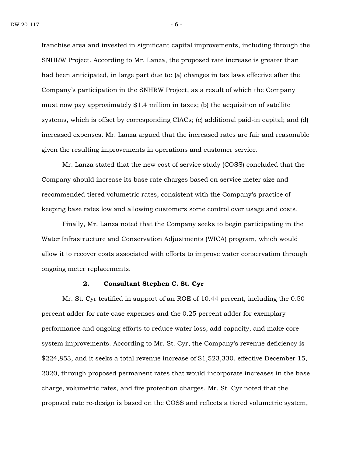franchise area and invested in significant capital improvements, including through the SNHRW Project. According to Mr. Lanza, the proposed rate increase is greater than had been anticipated, in large part due to: (a) changes in tax laws effective after the Company's participation in the SNHRW Project, as a result of which the Company must now pay approximately  $$1.4$  million in taxes; (b) the acquisition of satellite systems, which is offset by corresponding CIACs; (c) additional paid-in capital; and (d) increased expenses. Mr. Lanza argued that the increased rates are fair and reasonable given the resulting improvements in operations and customer service.

Mr. Lanza stated that the new cost of service study (COSS) concluded that the Company should increase its base rate charges based on service meter size and recommended tiered volumetric rates, consistent with the Company's practice of keeping base rates low and allowing customers some control over usage and costs.

Finally, Mr. Lanza noted that the Company seeks to begin participating in the Water Infrastructure and Conservation Adjustments (WICA) program, which would allow it to recover costs associated with efforts to improve water conservation through ongoing meter replacements.

## **2. Consultant Stephen C. St. Cyr**

Mr. St. Cyr testified in support of an ROE of 10.44 percent, including the 0.50 percent adder for rate case expenses and the 0.25 percent adder for exemplary performance and ongoing efforts to reduce water loss, add capacity, and make core system improvements. According to Mr. St. Cyr, the Company's revenue deficiency is \$224,853, and it seeks a total revenue increase of \$1,523,330, effective December 15, 2020, through proposed permanent rates that would incorporate increases in the base charge, volumetric rates, and fire protection charges. Mr. St. Cyr noted that the proposed rate re-design is based on the COSS and reflects a tiered volumetric system,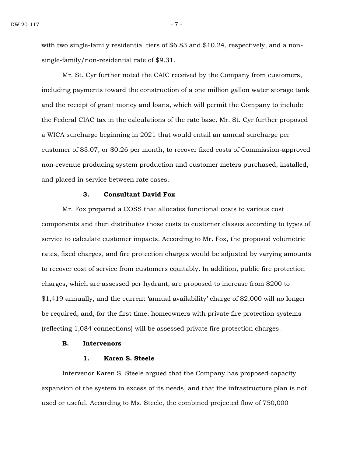with two single-family residential tiers of \$6.83 and \$10.24, respectively, and a nonsingle-family/non-residential rate of \$9.31.

Mr. St. Cyr further noted the CAIC received by the Company from customers, including payments toward the construction of a one million gallon water storage tank and the receipt of grant money and loans, which will permit the Company to include the Federal CIAC tax in the calculations of the rate base. Mr. St. Cyr further proposed a WICA surcharge beginning in 2021 that would entail an annual surcharge per customer of \$3.07, or \$0.26 per month, to recover fixed costs of Commission-approved non-revenue producing system production and customer meters purchased, installed, and placed in service between rate cases.

#### **3. Consultant David Fox**

Mr. Fox prepared a COSS that allocates functional costs to various cost components and then distributes those costs to customer classes according to types of service to calculate customer impacts. According to Mr. Fox, the proposed volumetric rates, fixed charges, and fire protection charges would be adjusted by varying amounts to recover cost of service from customers equitably. In addition, public fire protection charges, which are assessed per hydrant, are proposed to increase from \$200 to \$1,419 annually, and the current 'annual availability' charge of \$2,000 will no longer be required, and, for the first time, homeowners with private fire protection systems (reflecting 1,084 connections) will be assessed private fire protection charges.

#### **B. Intervenors**

#### **1. Karen S. Steele**

Intervenor Karen S. Steele argued that the Company has proposed capacity expansion of the system in excess of its needs, and that the infrastructure plan is not used or useful. According to Ms. Steele, the combined projected flow of 750,000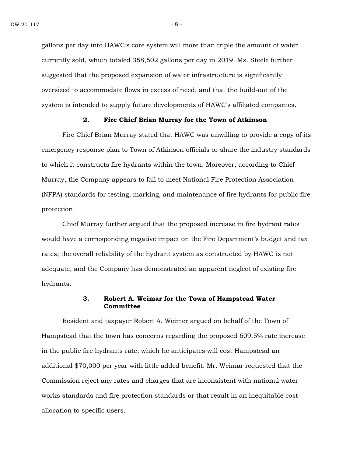gallons per day into HAWC's core system will more than triple the amount of water currently sold, which totaled 358,502 gallons per day in 2019. Ms. Steele further suggested that the proposed expansion of water infrastructure is significantly oversized to accommodate flows in excess of need, and that the build-out of the system is intended to supply future developments of HAWC's affiliated companies.

#### **2. Fire Chief Brian Murray for the Town of Atkinson**

Fire Chief Brian Murray stated that HAWC was unwilling to provide a copy of its emergency response plan to Town of Atkinson officials or share the industry standards to which it constructs fire hydrants within the town. Moreover, according to Chief Murray, the Company appears to fail to meet National Fire Protection Association (NFPA) standards for testing, marking, and maintenance of fire hydrants for public fire protection.

Chief Murray further argued that the proposed increase in fire hydrant rates would have a corresponding negative impact on the Fire Department's budget and tax rates; the overall reliability of the hydrant system as constructed by HAWC is not adequate, and the Company has demonstrated an apparent neglect of existing fire hydrants.

## **3. Robert A. Weimar for the Town of Hampstead Water Committee**

Resident and taxpayer Robert A. Weimer argued on behalf of the Town of Hampstead that the town has concerns regarding the proposed 609.5% rate increase in the public fire hydrants rate, which he anticipates will cost Hampstead an additional \$70,000 per year with little added benefit. Mr. Weimar requested that the Commission reject any rates and charges that are inconsistent with national water works standards and fire protection standards or that result in an inequitable cost allocation to specific users.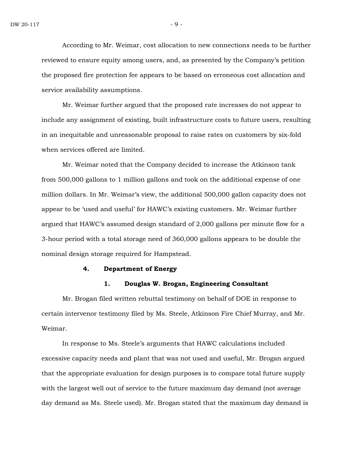According to Mr. Weimar, cost allocation to new connections needs to be further reviewed to ensure equity among users, and, as presented by the Company's petition the proposed fire protection fee appears to be based on erroneous cost allocation and service availability assumptions.

Mr. Weimar further argued that the proposed rate increases do not appear to include any assignment of existing, built infrastructure costs to future users, resulting in an inequitable and unreasonable proposal to raise rates on customers by six-fold when services offered are limited.

Mr. Weimar noted that the Company decided to increase the Atkinson tank from 500,000 gallons to 1 million gallons and took on the additional expense of one million dollars. In Mr. Weimar's view, the additional 500,000 gallon capacity does not appear to be 'used and useful' for HAWC's existing customers. Mr. Weimar further argued that HAWC's assumed design standard of 2,000 gallons per minute flow for a 3-hour period with a total storage need of 360,000 gallons appears to be double the nominal design storage required for Hampstead.

#### **4. Department of Energy**

## **1. Douglas W. Brogan, Engineering Consultant**

Mr. Brogan filed written rebuttal testimony on behalf of DOE in response to certain intervenor testimony filed by Ms. Steele, Atkinson Fire Chief Murray, and Mr. Weimar.

In response to Ms. Steele's arguments that HAWC calculations included excessive capacity needs and plant that was not used and useful, Mr. Brogan argued that the appropriate evaluation for design purposes is to compare total future supply with the largest well out of service to the future maximum day demand (not average day demand as Ms. Steele used). Mr. Brogan stated that the maximum day demand is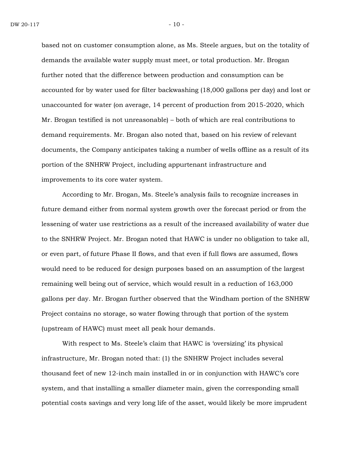based not on customer consumption alone, as Ms. Steele argues, but on the totality of demands the available water supply must meet, or total production. Mr. Brogan further noted that the difference between production and consumption can be accounted for by water used for filter backwashing (18,000 gallons per day) and lost or unaccounted for water (on average, 14 percent of production from 2015-2020, which Mr. Brogan testified is not unreasonable) – both of which are real contributions to demand requirements. Mr. Brogan also noted that, based on his review of relevant documents, the Company anticipates taking a number of wells offline as a result of its portion of the SNHRW Project, including appurtenant infrastructure and improvements to its core water system.

According to Mr. Brogan, Ms. Steele's analysis fails to recognize increases in future demand either from normal system growth over the forecast period or from the lessening of water use restrictions as a result of the increased availability of water due to the SNHRW Project. Mr. Brogan noted that HAWC is under no obligation to take all, or even part, of future Phase II flows, and that even if full flows are assumed, flows would need to be reduced for design purposes based on an assumption of the largest remaining well being out of service, which would result in a reduction of 163,000 gallons per day. Mr. Brogan further observed that the Windham portion of the SNHRW Project contains no storage, so water flowing through that portion of the system (upstream of HAWC) must meet all peak hour demands.

With respect to Ms. Steele's claim that HAWC is 'oversizing' its physical infrastructure, Mr. Brogan noted that: (1) the SNHRW Project includes several thousand feet of new 12-inch main installed in or in conjunction with HAWC's core system, and that installing a smaller diameter main, given the corresponding small potential costs savings and very long life of the asset, would likely be more imprudent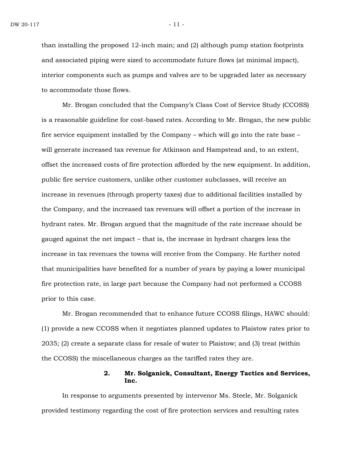than installing the proposed 12-inch main; and (2) although pump station footprints and associated piping were sized to accommodate future flows (at minimal impact), interior components such as pumps and valves are to be upgraded later as necessary to accommodate those flows.

Mr. Brogan concluded that the Company's Class Cost of Service Study (CCOSS) is a reasonable guideline for cost-based rates. According to Mr. Brogan, the new public fire service equipment installed by the Company – which will go into the rate base – will generate increased tax revenue for Atkinson and Hampstead and, to an extent, offset the increased costs of fire protection afforded by the new equipment. In addition, public fire service customers, unlike other customer subclasses, will receive an increase in revenues (through property taxes) due to additional facilities installed by the Company, and the increased tax revenues will offset a portion of the increase in hydrant rates. Mr. Brogan argued that the magnitude of the rate increase should be gauged against the net impact – that is, the increase in hydrant charges less the increase in tax revenues the towns will receive from the Company. He further noted that municipalities have benefited for a number of years by paying a lower municipal fire protection rate, in large part because the Company had not performed a CCOSS prior to this case.

Mr. Brogan recommended that to enhance future CCOSS filings, HAWC should: (1) provide a new CCOSS when it negotiates planned updates to Plaistow rates prior to 2035; (2) create a separate class for resale of water to Plaistow; and (3) treat (within the CCOSS) the miscellaneous charges as the tariffed rates they are.

## **2. Mr. Solganick, Consultant, Energy Tactics and Services, Inc.**

In response to arguments presented by intervenor Ms. Steele, Mr. Solganick provided testimony regarding the cost of fire protection services and resulting rates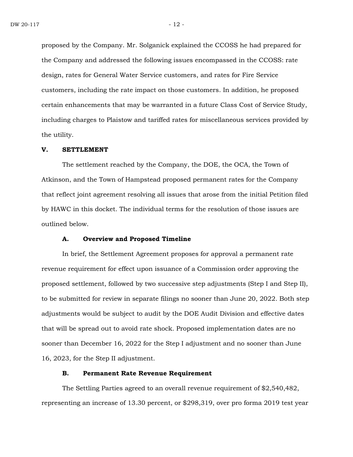proposed by the Company. Mr. Solganick explained the CCOSS he had prepared for the Company and addressed the following issues encompassed in the CCOSS: rate design, rates for General Water Service customers, and rates for Fire Service customers, including the rate impact on those customers. In addition, he proposed certain enhancements that may be warranted in a future Class Cost of Service Study, including charges to Plaistow and tariffed rates for miscellaneous services provided by the utility.

#### **V. SETTLEMENT**

The settlement reached by the Company, the DOE, the OCA, the Town of Atkinson, and the Town of Hampstead proposed permanent rates for the Company that reflect joint agreement resolving all issues that arose from the initial Petition filed by HAWC in this docket. The individual terms for the resolution of those issues are outlined below.

#### **A. Overview and Proposed Timeline**

In brief, the Settlement Agreement proposes for approval a permanent rate revenue requirement for effect upon issuance of a Commission order approving the proposed settlement, followed by two successive step adjustments (Step I and Step II), to be submitted for review in separate filings no sooner than June 20, 2022. Both step adjustments would be subject to audit by the DOE Audit Division and effective dates that will be spread out to avoid rate shock. Proposed implementation dates are no sooner than December 16, 2022 for the Step I adjustment and no sooner than June 16, 2023, for the Step II adjustment.

## **B. Permanent Rate Revenue Requirement**

The Settling Parties agreed to an overall revenue requirement of \$2,540,482, representing an increase of 13.30 percent, or \$298,319, over pro forma 2019 test year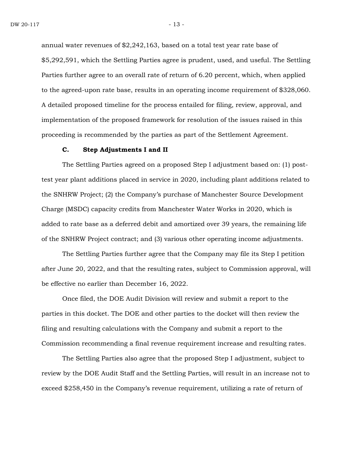annual water revenues of \$2,242,163, based on a total test year rate base of \$5,292,591, which the Settling Parties agree is prudent, used, and useful. The Settling Parties further agree to an overall rate of return of 6.20 percent, which, when applied to the agreed-upon rate base, results in an operating income requirement of \$328,060. A detailed proposed timeline for the process entailed for filing, review, approval, and implementation of the proposed framework for resolution of the issues raised in this proceeding is recommended by the parties as part of the Settlement Agreement.

#### **C. Step Adjustments I and II**

The Settling Parties agreed on a proposed Step I adjustment based on: (1) posttest year plant additions placed in service in 2020, including plant additions related to the SNHRW Project; (2) the Company's purchase of Manchester Source Development Charge (MSDC) capacity credits from Manchester Water Works in 2020, which is added to rate base as a deferred debit and amortized over 39 years, the remaining life of the SNHRW Project contract; and (3) various other operating income adjustments.

The Settling Parties further agree that the Company may file its Step I petition after June 20, 2022, and that the resulting rates, subject to Commission approval, will be effective no earlier than December 16, 2022.

Once filed, the DOE Audit Division will review and submit a report to the parties in this docket. The DOE and other parties to the docket will then review the filing and resulting calculations with the Company and submit a report to the Commission recommending a final revenue requirement increase and resulting rates.

The Settling Parties also agree that the proposed Step I adjustment, subject to review by the DOE Audit Staff and the Settling Parties, will result in an increase not to exceed \$258,450 in the Company's revenue requirement, utilizing a rate of return of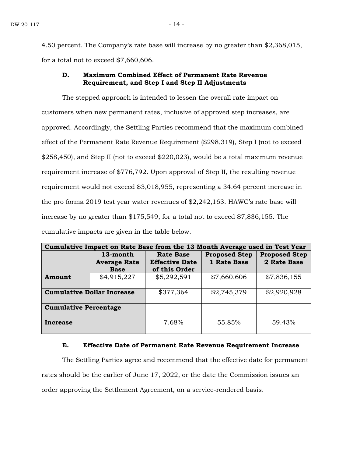4.50 percent. The Company's rate base will increase by no greater than \$2,368,015, for a total not to exceed \$7,660,606.

## **D. Maximum Combined Effect of Permanent Rate Revenue Requirement, and Step I and Step II Adjustments**

The stepped approach is intended to lessen the overall rate impact on customers when new permanent rates, inclusive of approved step increases, are approved. Accordingly, the Settling Parties recommend that the maximum combined effect of the Permanent Rate Revenue Requirement (\$298,319), Step I (not to exceed \$258,450), and Step II (not to exceed \$220,023), would be a total maximum revenue requirement increase of \$776,792. Upon approval of Step II, the resulting revenue requirement would not exceed \$3,018,955, representing a 34.64 percent increase in the pro forma 2019 test year water revenues of \$2,242,163. HAWC's rate base will increase by no greater than \$175,549, for a total not to exceed \$7,836,155. The cumulative impacts are given in the table below.

| Cumulative Impact on Rate Base from the 13 Month Average used in Test Year |                                    |                                        |                                     |                      |
|----------------------------------------------------------------------------|------------------------------------|----------------------------------------|-------------------------------------|----------------------|
|                                                                            | 13-month                           | <b>Rate Base</b>                       | <b>Proposed Step</b><br>1 Rate Base | <b>Proposed Step</b> |
|                                                                            | <b>Average Rate</b><br><b>Base</b> | <b>Effective Date</b><br>of this Order |                                     | 2 Rate Base          |
| Amount                                                                     | \$4,915,227                        | \$5,292,591                            | \$7,660,606                         | \$7,836,155          |
| <b>Cumulative Dollar Increase</b>                                          |                                    | \$377,364                              | \$2,745,379                         | \$2,920,928          |
| <b>Cumulative Percentage</b>                                               |                                    |                                        |                                     |                      |
| Increase                                                                   |                                    | 7.68%                                  | 55.85%                              | 59.43%               |

#### **E. Effective Date of Permanent Rate Revenue Requirement Increase**

The Settling Parties agree and recommend that the effective date for permanent rates should be the earlier of June 17, 2022, or the date the Commission issues an order approving the Settlement Agreement, on a service-rendered basis.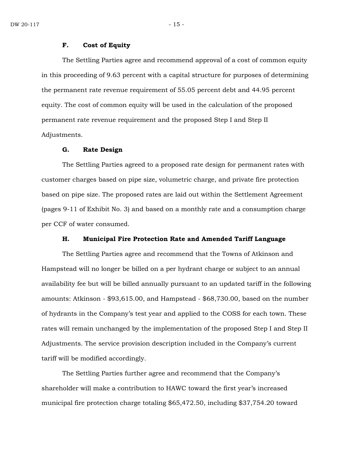#### **F. Cost of Equity**

The Settling Parties agree and recommend approval of a cost of common equity in this proceeding of 9.63 percent with a capital structure for purposes of determining the permanent rate revenue requirement of 55.05 percent debt and 44.95 percent equity. The cost of common equity will be used in the calculation of the proposed permanent rate revenue requirement and the proposed Step I and Step II Adjustments.

## **G. Rate Design**

The Settling Parties agreed to a proposed rate design for permanent rates with customer charges based on pipe size, volumetric charge, and private fire protection based on pipe size. The proposed rates are laid out within the Settlement Agreement (pages 9-11 of Exhibit No. 3) and based on a monthly rate and a consumption charge per CCF of water consumed.

## **H. Municipal Fire Protection Rate and Amended Tariff Language**

The Settling Parties agree and recommend that the Towns of Atkinson and Hampstead will no longer be billed on a per hydrant charge or subject to an annual availability fee but will be billed annually pursuant to an updated tariff in the following amounts: Atkinson - \$93,615.00, and Hampstead - \$68,730.00, based on the number of hydrants in the Company's test year and applied to the COSS for each town. These rates will remain unchanged by the implementation of the proposed Step I and Step II Adjustments. The service provision description included in the Company's current tariff will be modified accordingly.

The Settling Parties further agree and recommend that the Company's shareholder will make a contribution to HAWC toward the first year's increased municipal fire protection charge totaling \$65,472.50, including \$37,754.20 toward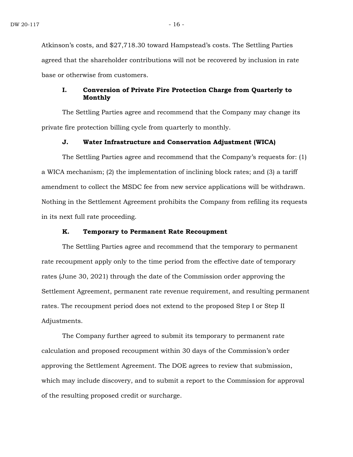Atkinson's costs, and \$27,718.30 toward Hampstead's costs. The Settling Parties agreed that the shareholder contributions will not be recovered by inclusion in rate base or otherwise from customers.

## **I. Conversion of Private Fire Protection Charge from Quarterly to Monthly**

The Settling Parties agree and recommend that the Company may change its private fire protection billing cycle from quarterly to monthly.

## **J. Water Infrastructure and Conservation Adjustment (WICA)**

The Settling Parties agree and recommend that the Company's requests for: (1) a WICA mechanism; (2) the implementation of inclining block rates; and (3) a tariff amendment to collect the MSDC fee from new service applications will be withdrawn. Nothing in the Settlement Agreement prohibits the Company from refiling its requests in its next full rate proceeding.

## **K. Temporary to Permanent Rate Recoupment**

The Settling Parties agree and recommend that the temporary to permanent rate recoupment apply only to the time period from the effective date of temporary rates (June 30, 2021) through the date of the Commission order approving the Settlement Agreement, permanent rate revenue requirement, and resulting permanent rates. The recoupment period does not extend to the proposed Step I or Step II Adjustments.

The Company further agreed to submit its temporary to permanent rate calculation and proposed recoupment within 30 days of the Commission's order approving the Settlement Agreement. The DOE agrees to review that submission, which may include discovery, and to submit a report to the Commission for approval of the resulting proposed credit or surcharge.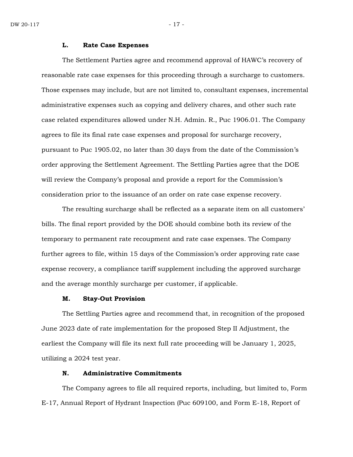#### **L. Rate Case Expenses**

The Settlement Parties agree and recommend approval of HAWC's recovery of reasonable rate case expenses for this proceeding through a surcharge to customers. Those expenses may include, but are not limited to, consultant expenses, incremental administrative expenses such as copying and delivery chares, and other such rate case related expenditures allowed under N.H. Admin. R., Puc 1906.01. The Company agrees to file its final rate case expenses and proposal for surcharge recovery, pursuant to Puc 1905.02, no later than 30 days from the date of the Commission's order approving the Settlement Agreement. The Settling Parties agree that the DOE will review the Company's proposal and provide a report for the Commission's consideration prior to the issuance of an order on rate case expense recovery.

The resulting surcharge shall be reflected as a separate item on all customers' bills. The final report provided by the DOE should combine both its review of the temporary to permanent rate recoupment and rate case expenses. The Company further agrees to file, within 15 days of the Commission's order approving rate case expense recovery, a compliance tariff supplement including the approved surcharge and the average monthly surcharge per customer, if applicable.

## **M. Stay-Out Provision**

The Settling Parties agree and recommend that, in recognition of the proposed June 2023 date of rate implementation for the proposed Step II Adjustment, the earliest the Company will file its next full rate proceeding will be January 1, 2025, utilizing a 2024 test year.

## **N. Administrative Commitments**

The Company agrees to file all required reports, including, but limited to, Form E-17, Annual Report of Hydrant Inspection (Puc 609100, and Form E-18, Report of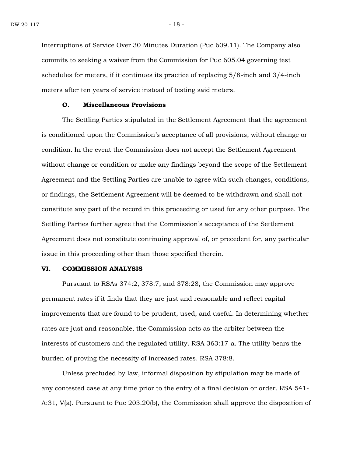Interruptions of Service Over 30 Minutes Duration (Puc 609.11). The Company also commits to seeking a waiver from the Commission for Puc 605.04 governing test schedules for meters, if it continues its practice of replacing 5/8-inch and 3/4-inch meters after ten years of service instead of testing said meters.

## **O. Miscellaneous Provisions**

The Settling Parties stipulated in the Settlement Agreement that the agreement is conditioned upon the Commission's acceptance of all provisions, without change or condition. In the event the Commission does not accept the Settlement Agreement without change or condition or make any findings beyond the scope of the Settlement Agreement and the Settling Parties are unable to agree with such changes, conditions, or findings, the Settlement Agreement will be deemed to be withdrawn and shall not constitute any part of the record in this proceeding or used for any other purpose. The Settling Parties further agree that the Commission's acceptance of the Settlement Agreement does not constitute continuing approval of, or precedent for, any particular issue in this proceeding other than those specified therein.

#### **VI. COMMISSION ANALYSIS**

Pursuant to RSAs 374:2, 378:7, and 378:28, the Commission may approve permanent rates if it finds that they are just and reasonable and reflect capital improvements that are found to be prudent, used, and useful. In determining whether rates are just and reasonable, the Commission acts as the arbiter between the interests of customers and the regulated utility. RSA 363:17-a. The utility bears the burden of proving the necessity of increased rates. RSA 378:8.

Unless precluded by law, informal disposition by stipulation may be made of any contested case at any time prior to the entry of a final decision or order. RSA 541- A:31, V(a). Pursuant to Puc 203.20(b), the Commission shall approve the disposition of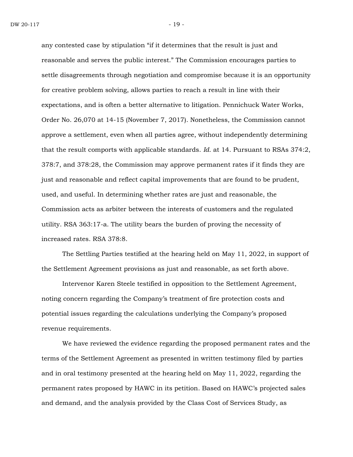any contested case by stipulation "if it determines that the result is just and reasonable and serves the public interest." The Commission encourages parties to settle disagreements through negotiation and compromise because it is an opportunity for creative problem solving, allows parties to reach a result in line with their expectations, and is often a better alternative to litigation. Pennichuck Water Works, Order No. 26,070 at 14-15 (November 7, 2017). Nonetheless, the Commission cannot approve a settlement, even when all parties agree, without independently determining that the result comports with applicable standards. *Id.* at 14. Pursuant to RSAs 374:2, 378:7, and 378:28, the Commission may approve permanent rates if it finds they are just and reasonable and reflect capital improvements that are found to be prudent, used, and useful. In determining whether rates are just and reasonable, the Commission acts as arbiter between the interests of customers and the regulated utility. RSA 363:17-a. The utility bears the burden of proving the necessity of increased rates. RSA 378:8.

The Settling Parties testified at the hearing held on May 11, 2022, in support of the Settlement Agreement provisions as just and reasonable, as set forth above.

Intervenor Karen Steele testified in opposition to the Settlement Agreement, noting concern regarding the Company's treatment of fire protection costs and potential issues regarding the calculations underlying the Company's proposed revenue requirements.

We have reviewed the evidence regarding the proposed permanent rates and the terms of the Settlement Agreement as presented in written testimony filed by parties and in oral testimony presented at the hearing held on May 11, 2022, regarding the permanent rates proposed by HAWC in its petition. Based on HAWC's projected sales and demand, and the analysis provided by the Class Cost of Services Study, as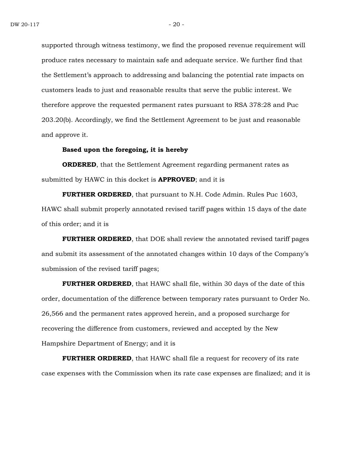supported through witness testimony, we find the proposed revenue requirement will produce rates necessary to maintain safe and adequate service. We further find that the Settlement's approach to addressing and balancing the potential rate impacts on customers leads to just and reasonable results that serve the public interest. We therefore approve the requested permanent rates pursuant to RSA 378:28 and Puc 203.20(b). Accordingly, we find the Settlement Agreement to be just and reasonable and approve it.

## **Based upon the foregoing, it is hereby**

**ORDERED**, that the Settlement Agreement regarding permanent rates as submitted by HAWC in this docket is **APPROVED**; and it is

**FURTHER ORDERED**, that pursuant to N.H. Code Admin. Rules Puc 1603, HAWC shall submit properly annotated revised tariff pages within 15 days of the date of this order; and it is

**FURTHER ORDERED**, that DOE shall review the annotated revised tariff pages and submit its assessment of the annotated changes within 10 days of the Company's submission of the revised tariff pages;

**FURTHER ORDERED**, that HAWC shall file, within 30 days of the date of this order, documentation of the difference between temporary rates pursuant to Order No. 26,566 and the permanent rates approved herein, and a proposed surcharge for recovering the difference from customers, reviewed and accepted by the New Hampshire Department of Energy; and it is

**FURTHER ORDERED**, that HAWC shall file a request for recovery of its rate case expenses with the Commission when its rate case expenses are finalized; and it is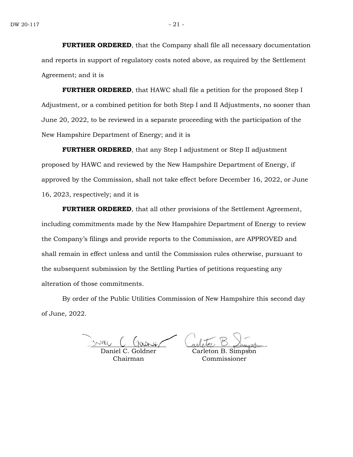**FURTHER ORDERED**, that the Company shall file all necessary documentation and reports in support of regulatory costs noted above, as required by the Settlement Agreement; and it is

**FURTHER ORDERED**, that HAWC shall file a petition for the proposed Step I Adjustment, or a combined petition for both Step I and II Adjustments, no sooner than June 20, 2022, to be reviewed in a separate proceeding with the participation of the New Hampshire Department of Energy; and it is

**FURTHER ORDERED**, that any Step I adjustment or Step II adjustment proposed by HAWC and reviewed by the New Hampshire Department of Energy, if approved by the Commission, shall not take effect before December 16, 2022, or June 16, 2023, respectively; and it is

**FURTHER ORDERED**, that all other provisions of the Settlement Agreement, including commitments made by the New Hampshire Department of Energy to review the Company's filings and provide reports to the Commission, are APPROVED and shall remain in effect unless and until the Commission rules otherwise, pursuant to the subsequent submission by the Settling Parties of petitions requesting any alteration of those commitments.

By order of the Public Utilities Commission of New Hampshire this second day of June, 2022.

Daniel C. Goldner Chairman

Carleton B. Simpson Commissioner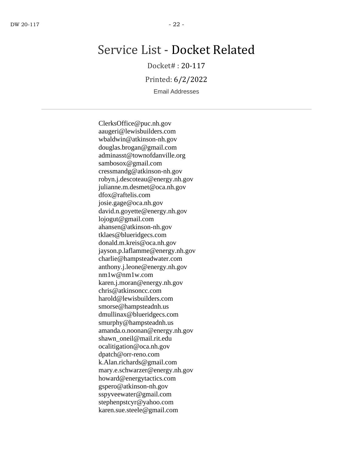## Service List - Docket Related

Docket# : 20-117

Printed: 6/2/2022

Email Addresses

ClerksOffice@puc.nh.gov aaugeri@lewisbuilders.com wbaldwin@atkinson-nh.gov douglas.brogan@gmail.com adminasst@townofdanville.org sambosox@gmail.com cressmandg@atkinson-nh.gov robyn.j.descoteau@energy.nh.gov julianne.m.desmet@oca.nh.gov dfox@raftelis.com josie.gage@oca.nh.gov david.n.goyette@energy.nh.gov lojogut@gmail.com ahansen@atkinson-nh.gov tklaes@blueridgecs.com donald.m.kreis@oca.nh.gov jayson.p.laflamme@energy.nh.gov charlie@hampsteadwater.com anthony.j.leone@energy.nh.gov nm1w@nm1w.com karen.j.moran@energy.nh.gov chris@atkinsoncc.com harold@lewisbuilders.com smorse@hampsteadnh.us dmullinax@blueridgecs.com smurphy@hampsteadnh.us amanda.o.noonan@energy.nh.gov shawn\_oneil@mail.rit.edu ocalitigation@oca.nh.gov dpatch@orr-reno.com k.Alan.richards@gmail.com mary.e.schwarzer@energy.nh.gov howard@energytactics.com gspero@atkinson-nh.gov sspyveewater@gmail.com stephenpstcyr@yahoo.com karen.sue.steele@gmail.com